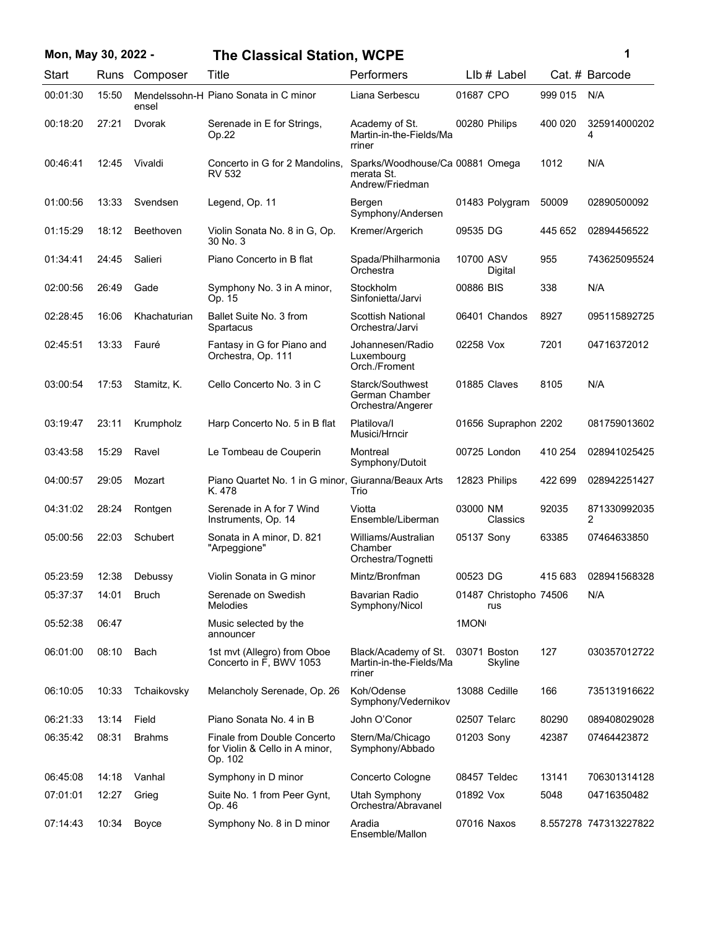## **Mon, May 30, 2022 - 1 The Classical Station, WCPE**

| Start    | Runs  | Composer      | Title                                                                    | Performers                                                       |            | Llb # Label                   |         | Cat. # Barcode        |
|----------|-------|---------------|--------------------------------------------------------------------------|------------------------------------------------------------------|------------|-------------------------------|---------|-----------------------|
| 00:01:30 | 15:50 | ensel         | Mendelssohn-H Piano Sonata in C minor                                    | Liana Serbescu                                                   | 01687 CPO  |                               | 999 015 | N/A                   |
| 00:18:20 | 27:21 | Dvorak        | Serenade in E for Strings,<br>Op.22                                      | Academy of St.<br>Martin-in-the-Fields/Ma<br>rriner              |            | 00280 Philips                 | 400 020 | 325914000202<br>4     |
| 00:46:41 | 12:45 | Vivaldi       | Concerto in G for 2 Mandolins,<br><b>RV 532</b>                          | Sparks/Woodhouse/Ca 00881 Omega<br>merata St.<br>Andrew/Friedman |            |                               | 1012    | N/A                   |
| 01:00:56 | 13:33 | Svendsen      | Legend, Op. 11                                                           | Bergen<br>Symphony/Andersen                                      |            | 01483 Polygram                | 50009   | 02890500092           |
| 01:15:29 | 18:12 | Beethoven     | Violin Sonata No. 8 in G, Op.<br>30 No. 3                                | Kremer/Argerich                                                  | 09535 DG   |                               | 445 652 | 02894456522           |
| 01:34:41 | 24:45 | Salieri       | Piano Concerto in B flat                                                 | Spada/Philharmonia<br>Orchestra                                  | 10700 ASV  | Digital                       | 955     | 743625095524          |
| 02:00:56 | 26:49 | Gade          | Symphony No. 3 in A minor,<br>Op. 15                                     | Stockholm<br>Sinfonietta/Jarvi                                   | 00886 BIS  |                               | 338     | N/A                   |
| 02:28:45 | 16:06 | Khachaturian  | Ballet Suite No. 3 from<br>Spartacus                                     | Scottish National<br>Orchestra/Jarvi                             |            | 06401 Chandos                 | 8927    | 095115892725          |
| 02:45:51 | 13:33 | Fauré         | Fantasy in G for Piano and<br>Orchestra, Op. 111                         | Johannesen/Radio<br>Luxembourg<br>Orch./Froment                  | 02258 Vox  |                               | 7201    | 04716372012           |
| 03:00:54 | 17:53 | Stamitz, K.   | Cello Concerto No. 3 in C                                                | Starck/Southwest<br>German Chamber<br>Orchestra/Angerer          |            | 01885 Claves                  | 8105    | N/A                   |
| 03:19:47 | 23:11 | Krumpholz     | Harp Concerto No. 5 in B flat                                            | Platilova/I<br>Musici/Hrncir                                     |            | 01656 Supraphon 2202          |         | 081759013602          |
| 03:43:58 | 15:29 | Ravel         | Le Tombeau de Couperin                                                   | Montreal<br>Symphony/Dutoit                                      |            | 00725 London                  | 410 254 | 028941025425          |
| 04:00:57 | 29:05 | Mozart        | Piano Quartet No. 1 in G minor, Giuranna/Beaux Arts<br>K. 478            | Trio                                                             |            | 12823 Philips                 | 422 699 | 028942251427          |
| 04:31:02 | 28:24 | Rontgen       | Serenade in A for 7 Wind<br>Instruments, Op. 14                          | Viotta<br>Ensemble/Liberman                                      | 03000 NM   | Classics                      | 92035   | 871330992035<br>2     |
| 05:00:56 | 22:03 | Schubert      | Sonata in A minor, D. 821<br>"Arpeggione"                                | Williams/Australian<br>Chamber<br>Orchestra/Tognetti             | 05137 Sony |                               | 63385   | 07464633850           |
| 05:23:59 | 12:38 | Debussy       | Violin Sonata in G minor                                                 | Mintz/Bronfman                                                   | 00523 DG   |                               | 415 683 | 028941568328          |
| 05:37:37 | 14:01 | <b>Bruch</b>  | Serenade on Swedish<br>Melodies                                          | Bavarian Radio<br>Symphony/Nicol                                 |            | 01487 Christopho 74506<br>rus |         | N/A                   |
| 05:52:38 | 06:47 |               | Music selected by the<br>announcer                                       |                                                                  | 1MON       |                               |         |                       |
| 06:01:00 | 08:10 | Bach          | 1st mvt (Allegro) from Oboe<br>Concerto in F, BWV 1053                   | Black/Academy of St.<br>Martin-in-the-Fields/Ma<br>rriner        |            | 03071 Boston<br>Skyline       | 127     | 030357012722          |
| 06:10:05 | 10:33 | Tchaikovsky   | Melancholy Serenade, Op. 26                                              | Koh/Odense<br>Symphony/Vedernikov                                |            | 13088 Cedille                 | 166     | 735131916622          |
| 06:21:33 | 13:14 | Field         | Piano Sonata No. 4 in B                                                  | John O'Conor                                                     |            | 02507 Telarc                  | 80290   | 089408029028          |
| 06:35:42 | 08:31 | <b>Brahms</b> | Finale from Double Concerto<br>for Violin & Cello in A minor,<br>Op. 102 | Stern/Ma/Chicago<br>Symphony/Abbado                              | 01203 Sony |                               | 42387   | 07464423872           |
| 06:45:08 | 14:18 | Vanhal        | Symphony in D minor                                                      | Concerto Cologne                                                 |            | 08457 Teldec                  | 13141   | 706301314128          |
| 07:01:01 | 12:27 | Grieg         | Suite No. 1 from Peer Gynt,<br>Op. 46                                    | Utah Symphony<br>Orchestra/Abravanel                             | 01892 Vox  |                               | 5048    | 04716350482           |
| 07:14:43 | 10:34 | Boyce         | Symphony No. 8 in D minor                                                | Aradia<br>Ensemble/Mallon                                        |            | 07016 Naxos                   |         | 8.557278 747313227822 |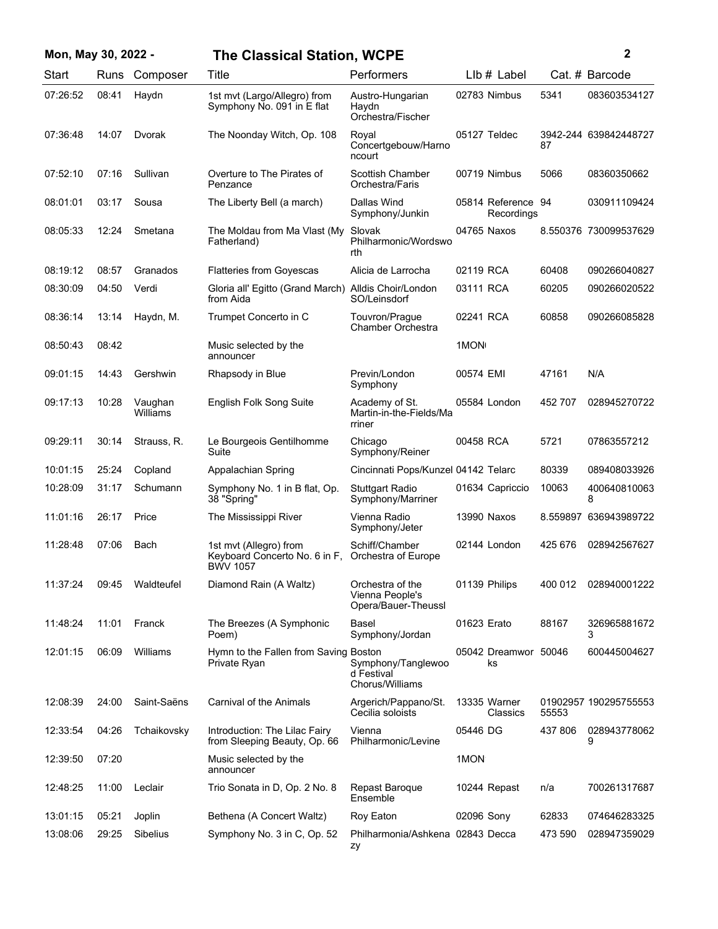| Mon, May 30, 2022 - |       |                     | <b>The Classical Station, WCPE</b>                                         |                                                            |               |                                  |         | 2                     |
|---------------------|-------|---------------------|----------------------------------------------------------------------------|------------------------------------------------------------|---------------|----------------------------------|---------|-----------------------|
| Start               | Runs  | Composer            | Title                                                                      | Performers                                                 |               | LIb # Label                      |         | Cat. # Barcode        |
| 07:26:52            | 08:41 | Haydn               | 1st mvt (Largo/Allegro) from<br>Symphony No. 091 in E flat                 | Austro-Hungarian<br>Haydn<br>Orchestra/Fischer             |               | 02783 Nimbus                     | 5341    | 083603534127          |
| 07:36:48            | 14:07 | Dvorak              | The Noonday Witch, Op. 108                                                 | Royal<br>Concertgebouw/Harno<br>ncourt                     | 05127 Teldec  |                                  | 87      | 3942-244 639842448727 |
| 07:52:10            | 07:16 | Sullivan            | Overture to The Pirates of<br>Penzance                                     | <b>Scottish Chamber</b><br>Orchestra/Faris                 |               | 00719 Nimbus                     | 5066    | 08360350662           |
| 08:01:01            | 03:17 | Sousa               | The Liberty Bell (a march)                                                 | Dallas Wind<br>Symphony/Junkin                             |               | 05814 Reference 94<br>Recordinas |         | 030911109424          |
| 08:05:33            | 12:24 | Smetana             | The Moldau from Ma Vlast (My<br>Fatherland)                                | Slovak<br>Philharmonic/Wordswo<br>rth                      | 04765 Naxos   |                                  |         | 8.550376 730099537629 |
| 08:19:12            | 08:57 | Granados            | <b>Flatteries from Goyescas</b>                                            | Alicia de Larrocha                                         | 02119 RCA     |                                  | 60408   | 090266040827          |
| 08:30:09            | 04:50 | Verdi               | Gloria all' Egitto (Grand March) Alldis Choir/London<br>from Aida          | SO/Leinsdorf                                               | 03111 RCA     |                                  | 60205   | 090266020522          |
| 08:36:14            | 13:14 | Haydn, M.           | Trumpet Concerto in C                                                      | Touvron/Prague<br>Chamber Orchestra                        | 02241 RCA     |                                  | 60858   | 090266085828          |
| 08:50:43            | 08:42 |                     | Music selected by the<br>announcer                                         |                                                            | 1MON          |                                  |         |                       |
| 09:01:15            | 14:43 | Gershwin            | Rhapsody in Blue                                                           | Previn/London<br>Symphony                                  | 00574 EMI     |                                  | 47161   | N/A                   |
| 09:17:13            | 10:28 | Vaughan<br>Williams | English Folk Song Suite                                                    | Academy of St.<br>Martin-in-the-Fields/Ma<br>rriner        | 05584 London  |                                  | 452 707 | 028945270722          |
| 09:29:11            | 30:14 | Strauss, R.         | Le Bourgeois Gentilhomme<br>Suite                                          | Chicago<br>Symphony/Reiner                                 | 00458 RCA     |                                  | 5721    | 07863557212           |
| 10:01:15            | 25:24 | Copland             | Appalachian Spring                                                         | Cincinnati Pops/Kunzel 04142 Telarc                        |               |                                  | 80339   | 089408033926          |
| 10:28:09            | 31:17 | Schumann            | Symphony No. 1 in B flat, Op.<br>38 "Spring"                               | <b>Stuttgart Radio</b><br>Symphony/Marriner                |               | 01634 Capriccio                  | 10063   | 400640810063<br>8     |
| 11:01:16            | 26:17 | Price               | The Mississippi River                                                      | Vienna Radio<br>Symphony/Jeter                             | 13990 Naxos   |                                  |         | 8.559897 636943989722 |
| 11:28:48            | 07:06 | Bach                | 1st mvt (Allegro) from<br>Keyboard Concerto No. 6 in F,<br><b>BWV 1057</b> | Schiff/Chamber<br>Orchestra of Europe                      | 02144 London  |                                  | 425 676 | 028942567627          |
| 11:37:24            | 09:45 | Waldteufel          | Diamond Rain (A Waltz)                                                     | Orchestra of the<br>Vienna People's<br>Opera/Bauer-Theussl | 01139 Philips |                                  | 400 012 | 028940001222          |
| 11:48:24            | 11:01 | Franck              | The Breezes (A Symphonic<br>Poem)                                          | Basel<br>Symphony/Jordan                                   | 01623 Erato   |                                  | 88167   | 326965881672<br>3     |
| 12:01:15            | 06:09 | Williams            | Hymn to the Fallen from Saving Boston<br>Private Ryan                      | Symphony/Tanglewoo<br>d Festival<br>Chorus/Williams        |               | 05042 Dreamwor 50046<br>ks       |         | 600445004627          |
| 12:08:39            | 24:00 | Saint-Saëns         | Carnival of the Animals                                                    | Argerich/Pappano/St.<br>Cecilia soloists                   |               | 13335 Warner<br>Classics         | 55553   | 01902957 190295755553 |
| 12:33:54            | 04:26 | Tchaikovsky         | Introduction: The Lilac Fairy<br>from Sleeping Beauty, Op. 66              | Vienna<br>Philharmonic/Levine                              | 05446 DG      |                                  | 437 806 | 028943778062<br>9     |
| 12:39:50            | 07:20 |                     | Music selected by the<br>announcer                                         |                                                            | 1MON          |                                  |         |                       |
| 12:48:25            | 11:00 | Leclair             | Trio Sonata in D, Op. 2 No. 8                                              | Repast Baroque<br>Ensemble                                 |               | 10244 Repast                     | n/a     | 700261317687          |
| 13:01:15            | 05:21 | Joplin              | Bethena (A Concert Waltz)                                                  | Roy Eaton                                                  | 02096 Sony    |                                  | 62833   | 074646283325          |
| 13:08:06            | 29:25 | Sibelius            | Symphony No. 3 in C, Op. 52                                                | Philharmonia/Ashkena 02843 Decca<br>zy                     |               |                                  | 473 590 | 028947359029          |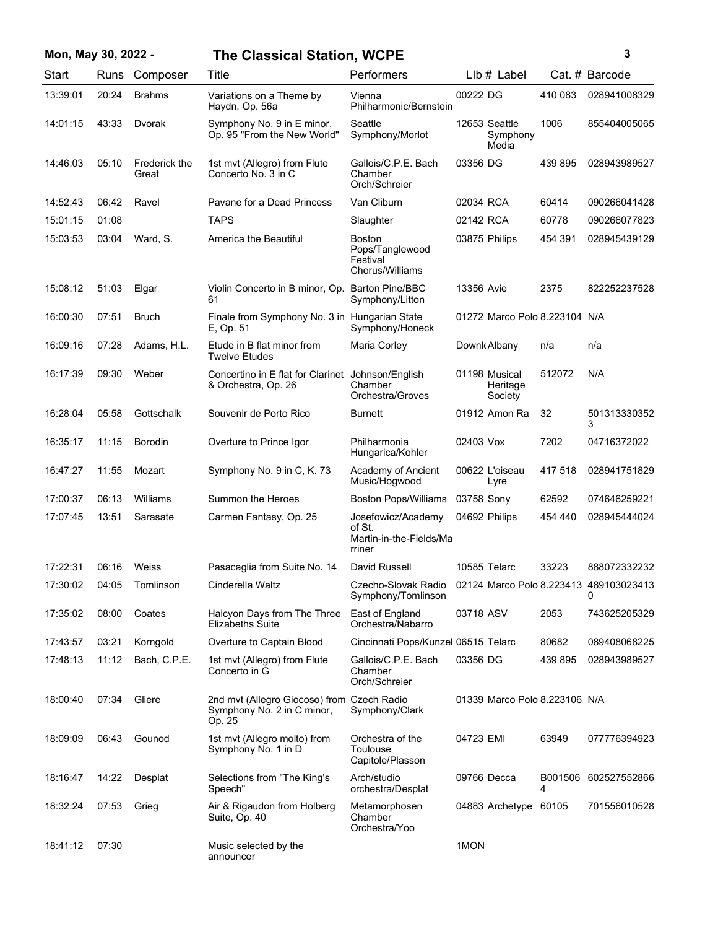| Mon, May 30, 2022 - |       |                        | <b>The Classical Station, WCPE</b>                                                 |                                                                   |            |                                      |              | 3                                           |
|---------------------|-------|------------------------|------------------------------------------------------------------------------------|-------------------------------------------------------------------|------------|--------------------------------------|--------------|---------------------------------------------|
| Start               | Runs  | Composer               | Title                                                                              | Performers                                                        |            | $Llb#$ Label                         |              | Cat. # Barcode                              |
| 13:39:01            | 20:24 | <b>Brahms</b>          | Variations on a Theme by<br>Haydn, Op. 56a                                         | Vienna<br>Philharmonic/Bernstein                                  | 00222 DG   |                                      | 410 083      | 028941008329                                |
| 14:01:15            | 43:33 | Dvorak                 | Symphony No. 9 in E minor,<br>Op. 95 "From the New World"                          | Seattle<br>Symphony/Morlot                                        |            | 12653 Seattle<br>Symphony<br>Media   | 1006         | 855404005065                                |
| 14:46:03            | 05:10 | Frederick the<br>Great | 1st mvt (Allegro) from Flute<br>Concerto No. 3 in C                                | Gallois/C.P.E. Bach<br>Chamber<br>Orch/Schreier                   | 03356 DG   |                                      | 439 895      | 028943989527                                |
| 14:52:43            | 06:42 | Ravel                  | Pavane for a Dead Princess                                                         | Van Cliburn                                                       | 02034 RCA  |                                      | 60414        | 090266041428                                |
| 15:01:15            | 01:08 |                        | <b>TAPS</b>                                                                        | Slaughter                                                         | 02142 RCA  |                                      | 60778        | 090266077823                                |
| 15:03:53            | 03:04 | Ward, S.               | America the Beautiful                                                              | <b>Boston</b><br>Pops/Tanglewood<br>Festival<br>Chorus/Williams   |            | 03875 Philips                        | 454 391      | 028945439129                                |
| 15:08:12            | 51:03 | Elgar                  | Violin Concerto in B minor, Op.<br>61                                              | <b>Barton Pine/BBC</b><br>Symphony/Litton                         | 13356 Avie |                                      | 2375         | 822252237528                                |
| 16:00:30            | 07:51 | <b>Bruch</b>           | Finale from Symphony No. 3 in Hungarian State<br>E, Op. 51                         | Symphony/Honeck                                                   |            | 01272 Marco Polo 8.223104 N/A        |              |                                             |
| 16:09:16            | 07:28 | Adams, H.L.            | Etude in B flat minor from<br><b>Twelve Etudes</b>                                 | Maria Corley                                                      |            | Downk Albany                         | n/a          | n/a                                         |
| 16:17:39            | 09:30 | Weber                  | Concertino in E flat for Clarinet Johnson/English<br>& Orchestra, Op. 26           | Chamber<br>Orchestra/Groves                                       |            | 01198 Musical<br>Heritage<br>Society | 512072       | N/A                                         |
| 16:28:04            | 05:58 | Gottschalk             | Souvenir de Porto Rico                                                             | Burnett                                                           |            | 01912 Amon Ra                        | 32           | 501313330352<br>3                           |
| 16:35:17            | 11:15 | <b>Borodin</b>         | Overture to Prince Igor                                                            | Philharmonia<br>Hungarica/Kohler                                  | 02403 Vox  |                                      | 7202         | 04716372022                                 |
| 16:47:27            | 11:55 | Mozart                 | Symphony No. 9 in C, K. 73                                                         | Academy of Ancient<br>Music/Hogwood                               |            | 00622 L'oiseau<br>Lyre               | 417 518      | 028941751829                                |
| 17:00:37            | 06:13 | Williams               | Summon the Heroes                                                                  | <b>Boston Pops/Williams</b>                                       | 03758 Sony |                                      | 62592        | 074646259221                                |
| 17:07:45            | 13:51 | Sarasate               | Carmen Fantasy, Op. 25                                                             | Josefowicz/Academy<br>of St.<br>Martin-in-the-Fields/Ma<br>rriner |            | 04692 Philips                        | 454 440      | 028945444024                                |
| 17:22:31            | 06:16 | Weiss                  | Pasacaglia from Suite No. 14                                                       | David Russell                                                     |            | 10585 Telarc                         | 33223        | 888072332232                                |
| 17:30:02            | 04:05 | Tomlinson              | Cinderella Waltz                                                                   | Czecho-Slovak Radio<br>Symphony/Tomlinson                         |            |                                      |              | 02124 Marco Polo 8.223413 489103023413<br>0 |
| 17:35:02            | 08:00 | Coates                 | Halcyon Days from The Three<br><b>Elizabeths Suite</b>                             | East of England<br>Orchestra/Nabarro                              | 03718 ASV  |                                      | 2053         | 743625205329                                |
| 17:43:57            | 03:21 | Korngold               | Overture to Captain Blood                                                          | Cincinnati Pops/Kunzel 06515 Telarc                               |            |                                      | 80682        | 089408068225                                |
| 17:48:13            | 11:12 | Bach, C.P.E.           | 1st mvt (Allegro) from Flute<br>Concerto in G                                      | Gallois/C.P.E. Bach<br>Chamber<br>Orch/Schreier                   | 03356 DG   |                                      | 439 895      | 028943989527                                |
| 18:00:40            | 07:34 | Gliere                 | 2nd mvt (Allegro Giocoso) from Czech Radio<br>Symphony No. 2 in C minor,<br>Op. 25 | Symphony/Clark                                                    |            | 01339 Marco Polo 8.223106 N/A        |              |                                             |
| 18:09:09            | 06:43 | Gounod                 | 1st mvt (Allegro molto) from<br>Symphony No. 1 in D                                | Orchestra of the<br>Toulouse<br>Capitole/Plasson                  | 04723 EMI  |                                      | 63949        | 077776394923                                |
| 18:16:47            | 14:22 | Desplat                | Selections from "The King's<br>Speech"                                             | Arch/studio<br>orchestra/Desplat                                  |            | 09766 Decca                          | B001506<br>4 | 602527552866                                |
| 18:32:24            | 07:53 | Grieg                  | Air & Rigaudon from Holberg<br>Suite, Op. 40                                       | Metamorphosen<br>Chamber<br>Orchestra/Yoo                         |            | 04883 Archetype 60105                |              | 701556010528                                |
| 18:41:12            | 07:30 |                        | Music selected by the<br>announcer                                                 |                                                                   | 1MON       |                                      |              |                                             |